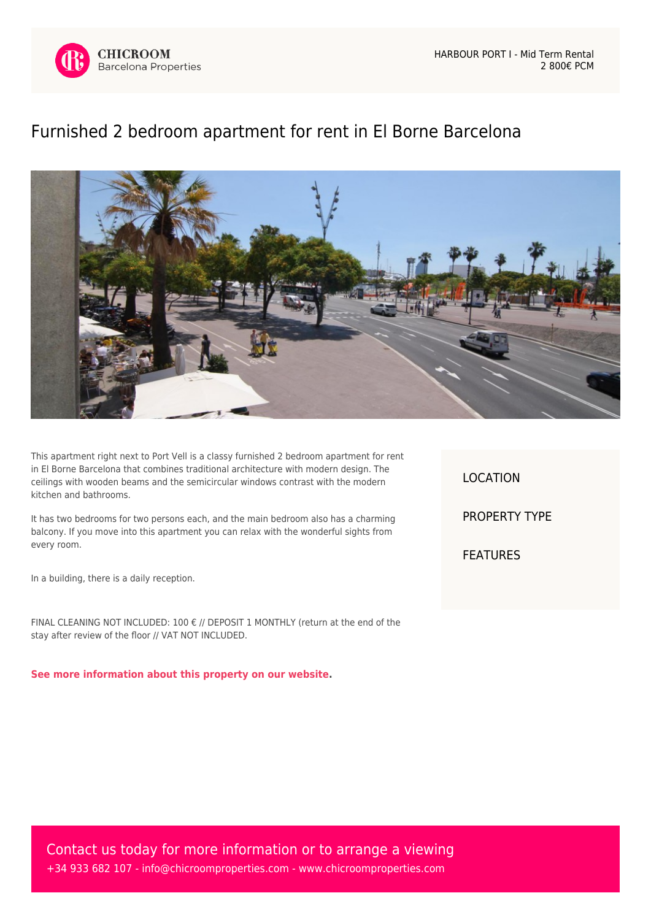

## [Furnished 2 bedroom apartment for rent in El Borne Barcelona](https://www.chicroomproperties.com/en/property/295/furnished-2-bedroom-apartment-for-rent-in-el-borne-barcelona/)



This apartment right next to Port Vell is a classy furnished 2 bedroom apartment for rent in El Borne Barcelona that combines traditional architecture with modern design. The ceilings with wooden beams and the semicircular windows contrast with the modern kitchen and bathrooms.

It has two bedrooms for two persons each, and the main bedroom also has a charming balcony. If you move into this apartment you can relax with the wonderful sights from every room.

In a building, there is a daily reception.

FINAL CLEANING NOT INCLUDED: 100 € // DEPOSIT 1 MONTHLY (return at the end of the stay after review of the floor // VAT NOT INCLUDED.

**[See more information about this property on our website.](https://www.chicroomproperties.com/en/property/295/furnished-2-bedroom-apartment-for-rent-in-el-borne-barcelona/)**

LOCATION PROPERTY TYPE FEATURES